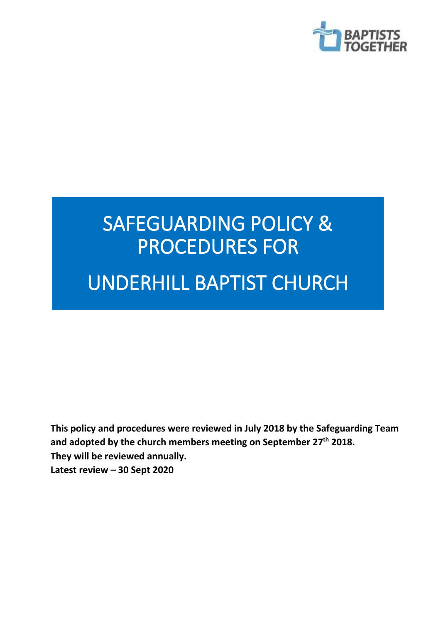

# SAFEGUARDING POLICY & PROCEDURES FOR

## UNDERHILL BAPTIST CHURCH

Ξ

**This policy and procedures were reviewed in July 2018 by the Safeguarding Team and adopted by the church members meeting on September 27th 2018. They will be reviewed annually. Latest review – 30 Sept 2020**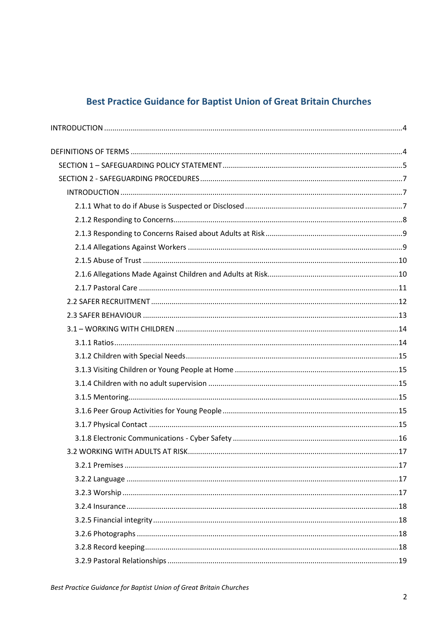## **Best Practice Guidance for Baptist Union of Great Britain Churches**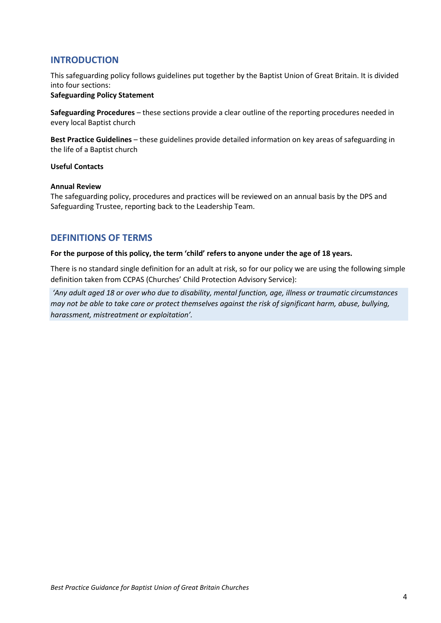#### <span id="page-3-0"></span>**INTRODUCTION**

This safeguarding policy follows guidelines put together by the Baptist Union of Great Britain. It is divided into four sections:

#### **Safeguarding Policy Statement**

**Safeguarding Procedures** – these sections provide a clear outline of the reporting procedures needed in every local Baptist church

**Best Practice Guidelines** – these guidelines provide detailed information on key areas of safeguarding in the life of a Baptist church

#### **Useful Contacts**

#### **Annual Review**

The safeguarding policy, procedures and practices will be reviewed on an annual basis by the DPS and Safeguarding Trustee, reporting back to the Leadership Team.

#### <span id="page-3-1"></span>**DEFINITIONS OF TERMS**

#### **For the purpose of this policy, the term 'child' refers to anyone under the age of 18 years.**

There is no standard single definition for an adult at risk, so for our policy we are using the following simple definition taken from CCPAS (Churches' Child Protection Advisory Service):

*'Any adult aged 18 or over who due to disability, mental function, age, illness or traumatic circumstances may not be able to take care or protect themselves against the risk of significant harm, abuse, bullying, harassment, mistreatment or exploitation'.*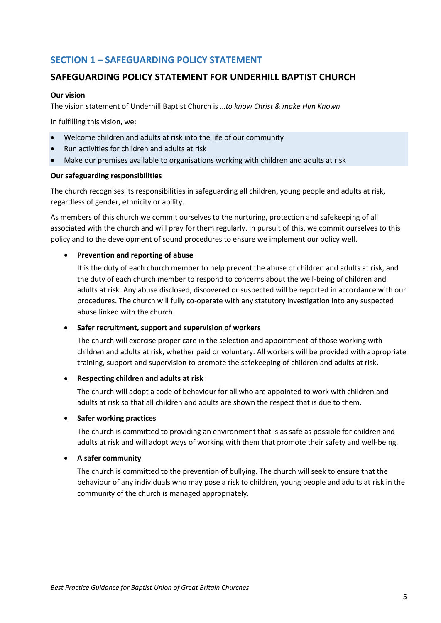## <span id="page-4-0"></span>**SECTION 1 – SAFEGUARDING POLICY STATEMENT**

#### **SAFEGUARDING POLICY STATEMENT FOR UNDERHILL BAPTIST CHURCH**

#### **Our vision**

The vision statement of Underhill Baptist Church is …*to know Christ & make Him Known*

In fulfilling this vision, we:

- Welcome children and adults at risk into the life of our community
- Run activities for children and adults at risk
- Make our premises available to organisations working with children and adults at risk

#### **Our safeguarding responsibilities**

The church recognises its responsibilities in safeguarding all children, young people and adults at risk, regardless of gender, ethnicity or ability.

As members of this church we commit ourselves to the nurturing, protection and safekeeping of all associated with the church and will pray for them regularly. In pursuit of this, we commit ourselves to this policy and to the development of sound procedures to ensure we implement our policy well.

#### • **Prevention and reporting of abuse**

It is the duty of each church member to help prevent the abuse of children and adults at risk, and the duty of each church member to respond to concerns about the well-being of children and adults at risk. Any abuse disclosed, discovered or suspected will be reported in accordance with our procedures. The church will fully co-operate with any statutory investigation into any suspected abuse linked with the church.

#### • **Safer recruitment, support and supervision of workers**

The church will exercise proper care in the selection and appointment of those working with children and adults at risk, whether paid or voluntary. All workers will be provided with appropriate training, support and supervision to promote the safekeeping of children and adults at risk.

#### • **Respecting children and adults at risk**

The church will adopt a code of behaviour for all who are appointed to work with children and adults at risk so that all children and adults are shown the respect that is due to them.

#### • **Safer working practices**

The church is committed to providing an environment that is as safe as possible for children and adults at risk and will adopt ways of working with them that promote their safety and well-being.

#### • **A safer community**

The church is committed to the prevention of bullying. The church will seek to ensure that the behaviour of any individuals who may pose a risk to children, young people and adults at risk in the community of the church is managed appropriately.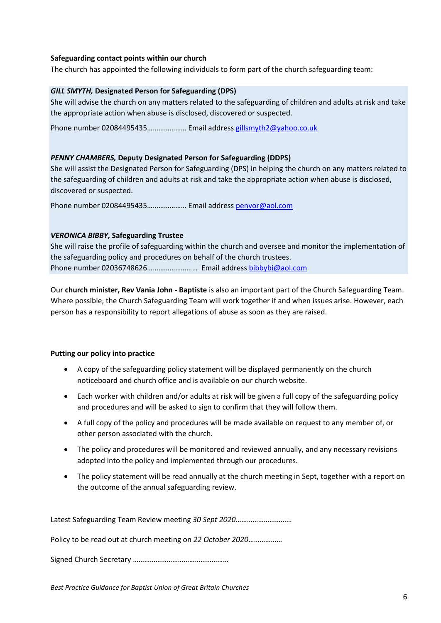#### **Safeguarding contact points within our church**

The church has appointed the following individuals to form part of the church safeguarding team:

#### *GILL SMYTH,* **Designated Person for Safeguarding (DPS)**

She will advise the church on any matters related to the safeguarding of children and adults at risk and take the appropriate action when abuse is disclosed, discovered or suspected.

Phone number 02084495435………………… Email addres[s gillsmyth2@yahoo.co.uk](mailto:gillsmyth2@yahoo.co.uk)

#### *PENNY CHAMBERS,* **Deputy Designated Person for Safeguarding (DDPS)**

She will assist the Designated Person for Safeguarding (DPS) in helping the church on any matters related to the safeguarding of children and adults at risk and take the appropriate action when abuse is disclosed, discovered or suspected.

Phone number 02084495435………………… Email addres[s penvor@aol.com](mailto:penvor@aol.com)

#### *VERONICA BIBBY,* **Safeguarding Trustee**

She will raise the profile of safeguarding within the church and oversee and monitor the implementation of the safeguarding policy and procedures on behalf of the church trustees. Phone number 02036748626……………………… Email address [bibbybi@aol.com](mailto:bibbybi@aol.com)

Our **church minister, Rev Vania John - Baptiste** is also an important part of the Church Safeguarding Team. Where possible, the Church Safeguarding Team will work together if and when issues arise. However, each person has a responsibility to report allegations of abuse as soon as they are raised.

#### **Putting our policy into practice**

- A copy of the safeguarding policy statement will be displayed permanently on the church noticeboard and church office and is available on our church website.
- Each worker with children and/or adults at risk will be given a full copy of the safeguarding policy and procedures and will be asked to sign to confirm that they will follow them.
- A full copy of the policy and procedures will be made available on request to any member of, or other person associated with the church.
- The policy and procedures will be monitored and reviewed annually, and any necessary revisions adopted into the policy and implemented through our procedures.
- The policy statement will be read annually at the church meeting in Sept, together with a report on the outcome of the annual safeguarding review.

Latest Safeguarding Team Review meeting *30 Sept 2020*…………………………

Policy to be read out at church meeting on *22 October 2020*………………

Signed Church Secretary ……………………………………………

*Best Practice Guidance for Baptist Union of Great Britain Churches*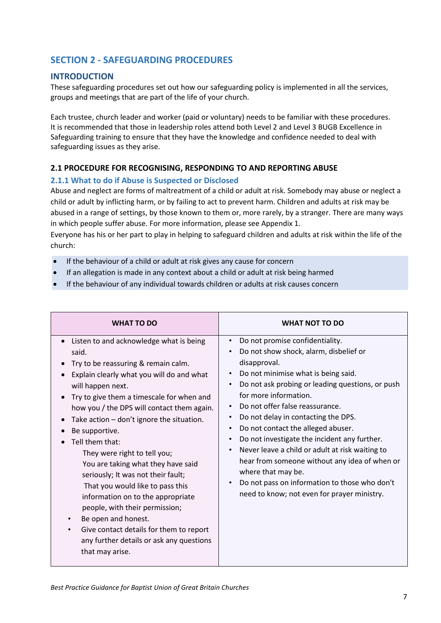## <span id="page-6-0"></span>**SECTION 2 - SAFEGUARDING PROCEDURES**

#### <span id="page-6-1"></span>**INTRODUCTION**

These safeguarding procedures set out how our safeguarding policy is implemented in all the services, groups and meetings that are part of the life of your church.

Each trustee, church leader and worker (paid or voluntary) needs to be familiar with these procedures. It is recommended that those in leadership roles attend both Level 2 and Level 3 BUGB Excellence in Safeguarding training to ensure that they have the knowledge and confidence needed to deal with safeguarding issues as they arise.

#### **2.1 PROCEDURE FOR RECOGNISING, RESPONDING TO AND REPORTING ABUSE**

#### <span id="page-6-2"></span>**2.1.1 What to do if Abuse is Suspected or Disclosed**

Abuse and neglect are forms of maltreatment of a child or adult at risk. Somebody may abuse or neglect a child or adult by inflicting harm, or by failing to act to prevent harm. Children and adults at risk may be abused in a range of settings, by those known to them or, more rarely, by a stranger. There are many ways in which people suffer abuse. For more information, please see Appendix 1.

Everyone has his or her part to play in helping to safeguard children and adults at risk within the life of the church:

- If the behaviour of a child or adult at risk gives any cause for concern
- If an allegation is made in any context about a child or adult at risk being harmed
- If the behaviour of any individual towards children or adults at risk causes concern

| <b>WHAT TO DO</b>                                                                                                                                                                                                                                                                                                                                                                                                                                                                                                                                                                                                                                                                                                                                  | <b>WHAT NOT TO DO</b>                                                                                                                                                                                                                                                                                                                                                                                                                                                                                                                                                                                                                          |
|----------------------------------------------------------------------------------------------------------------------------------------------------------------------------------------------------------------------------------------------------------------------------------------------------------------------------------------------------------------------------------------------------------------------------------------------------------------------------------------------------------------------------------------------------------------------------------------------------------------------------------------------------------------------------------------------------------------------------------------------------|------------------------------------------------------------------------------------------------------------------------------------------------------------------------------------------------------------------------------------------------------------------------------------------------------------------------------------------------------------------------------------------------------------------------------------------------------------------------------------------------------------------------------------------------------------------------------------------------------------------------------------------------|
| Listen to and acknowledge what is being<br>said.<br>Try to be reassuring & remain calm.<br>Explain clearly what you will do and what<br>will happen next.<br>Try to give them a timescale for when and<br>$\bullet$<br>how you / the DPS will contact them again.<br>Take action - don't ignore the situation.<br>$\bullet$<br>Be supportive.<br>Tell them that:<br>They were right to tell you;<br>You are taking what they have said<br>seriously; It was not their fault;<br>That you would like to pass this<br>information on to the appropriate<br>people, with their permission;<br>Be open and honest.<br>$\bullet$<br>Give contact details for them to report<br>$\bullet$<br>any further details or ask any questions<br>that may arise. | Do not promise confidentiality.<br>Do not show shock, alarm, disbelief or<br>disapproval.<br>Do not minimise what is being said.<br>$\bullet$<br>Do not ask probing or leading questions, or push<br>for more information.<br>Do not offer false reassurance.<br>$\bullet$<br>Do not delay in contacting the DPS.<br>Do not contact the alleged abuser.<br>Do not investigate the incident any further.<br>Never leave a child or adult at risk waiting to<br>$\bullet$<br>hear from someone without any idea of when or<br>where that may be.<br>Do not pass on information to those who don't<br>need to know; not even for prayer ministry. |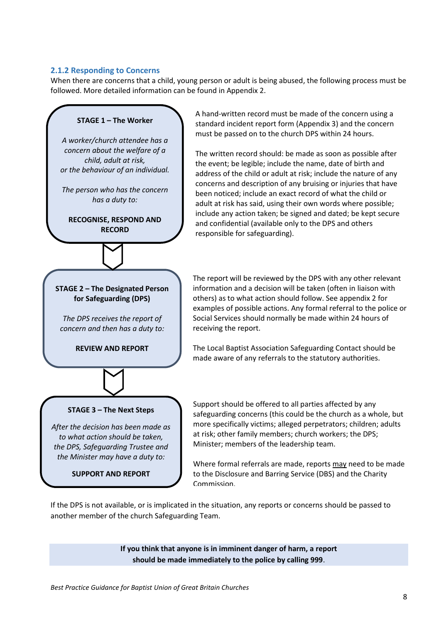#### <span id="page-7-0"></span>**2.1.2 Responding to Concerns**

When there are concerns that a child, young person or adult is being abused, the following process must be followed. More detailed information can be found in Appendix 2.



If the DPS is not available, or is implicated in the situation, any reports or concerns should be passed to another member of the church Safeguarding Team.

> **If you think that anyone is in imminent danger of harm, a report should be made immediately to the police by calling 999**.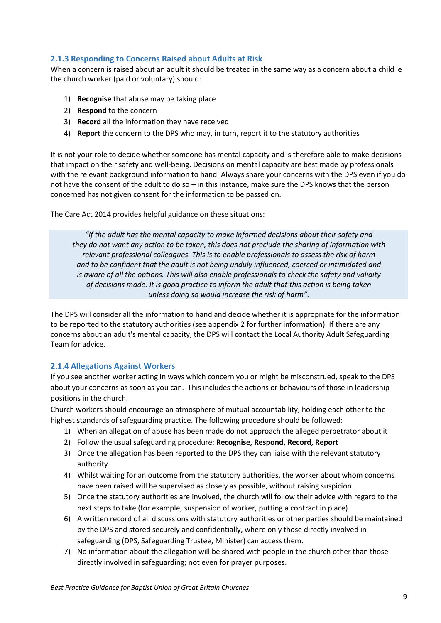#### <span id="page-8-0"></span>**2.1.3 Responding to Concerns Raised about Adults at Risk**

When a concern is raised about an adult it should be treated in the same way as a concern about a child ie the church worker (paid or voluntary) should:

- 1) **Recognise** that abuse may be taking place
- 2) **Respond** to the concern
- 3) **Record** all the information they have received
- 4) **Report** the concern to the DPS who may, in turn, report it to the statutory authorities

It is not your role to decide whether someone has mental capacity and is therefore able to make decisions that impact on their safety and well-being. Decisions on mental capacity are best made by professionals with the relevant background information to hand. Always share your concerns with the DPS even if you do not have the consent of the adult to do so – in this instance, make sure the DPS knows that the person concerned has not given consent for the information to be passed on.

The Care Act 2014 provides helpful guidance on these situations:

*"If the adult has the mental capacity to make informed decisions about their safety and they do not want any action to be taken, this does not preclude the sharing of information with relevant professional colleagues. This is to enable professionals to assess the risk of harm and to be confident that the adult is not being unduly influenced, coerced or intimidated and is aware of all the options. This will also enable professionals to check the safety and validity of decisions made. It is good practice to inform the adult that this action is being taken unless doing so would increase the risk of harm".*

The DPS will consider all the information to hand and decide whether it is appropriate for the information to be reported to the statutory authorities (see appendix 2 for further information). If there are any concerns about an adult's mental capacity, the DPS will contact the Local Authority Adult Safeguarding Team for advice.

#### <span id="page-8-1"></span>**2.1.4 Allegations Against Workers**

If you see another worker acting in ways which concern you or might be misconstrued, speak to the DPS about your concerns as soon as you can. This includes the actions or behaviours of those in leadership positions in the church.

Church workers should encourage an atmosphere of mutual accountability, holding each other to the highest standards of safeguarding practice. The following procedure should be followed:

- 1) When an allegation of abuse has been made do not approach the alleged perpetrator about it
- 2) Follow the usual safeguarding procedure: **Recognise, Respond, Record, Report**
- 3) Once the allegation has been reported to the DPS they can liaise with the relevant statutory authority
- 4) Whilst waiting for an outcome from the statutory authorities, the worker about whom concerns have been raised will be supervised as closely as possible, without raising suspicion
- 5) Once the statutory authorities are involved, the church will follow their advice with regard to the next steps to take (for example, suspension of worker, putting a contract in place)
- 6) A written record of all discussions with statutory authorities or other parties should be maintained by the DPS and stored securely and confidentially, where only those directly involved in safeguarding (DPS, Safeguarding Trustee, Minister) can access them.
- 7) No information about the allegation will be shared with people in the church other than those directly involved in safeguarding; not even for prayer purposes.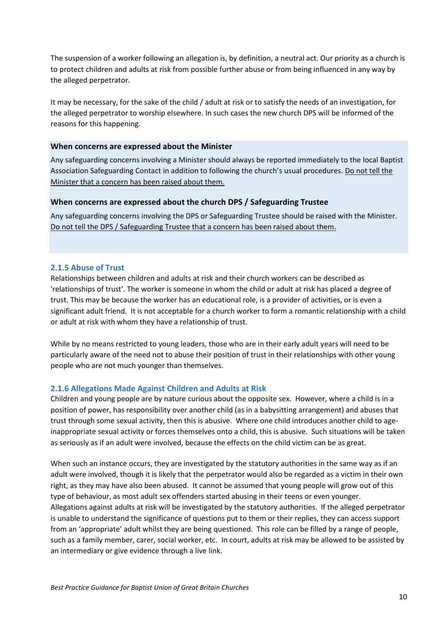The suspension of a worker following an allegation is, by definition, a neutral act. Our priority as a church is to protect children and adults at risk from possible further abuse or from being influenced in any way by the alleged perpetrator.

It may be necessary, for the sake of the child / adult at risk or to satisfy the needs of an investigation, for the alleged perpetrator to worship elsewhere. In such cases the new church DPS will be informed of the reasons for this happening.

#### **When concerns are expressed about the Minister**

Any safeguarding concerns involving a Minister should always be reported immediately to the local Baptist Association Safeguarding Contact in addition to following the church's usual procedures. Do not tell the Minister that a concern has been raised about them.

#### **When concerns are expressed about the church DPS / Safeguarding Trustee**

Any safeguarding concerns involving the DPS or Safeguarding Trustee should be raised with the Minister. Do not tell the DPS / Safeguarding Trustee that a concern has been raised about them.

#### <span id="page-9-0"></span>**2.1.5 Abuse of Trust**

Relationships between children and adults at risk and their church workers can be described as 'relationships of trust'. The worker is someone in whom the child or adult at risk has placed a degree of trust. This may be because the worker has an educational role, is a provider of activities, or is even a significant adult friend. It is not acceptable for a church worker to form a romantic relationship with a child or adult at risk with whom they have a relationship of trust.

While by no means restricted to young leaders, those who are in their early adult years will need to be particularly aware of the need not to abuse their position of trust in their relationships with other young people who are not much younger than themselves.

#### <span id="page-9-1"></span>**2.1.6 Allegations Made Against Children and Adults at Risk**

Children and young people are by nature curious about the opposite sex. However, where a child is in a position of power, has responsibility over another child (as in a babysitting arrangement) and abuses that trust through some sexual activity, then this is abusive. Where one child introduces another child to ageinappropriate sexual activity or forces themselves onto a child, this is abusive. Such situations will be taken as seriously as if an adult were involved, because the effects on the child victim can be as great.

When such an instance occurs, they are investigated by the statutory authorities in the same way as if an adult were involved, though it is likely that the perpetrator would also be regarded as a victim in their own right, as they may have also been abused. It cannot be assumed that young people will grow out of this type of behaviour, as most adult sex offenders started abusing in their teens or even younger. Allegations against adults at risk will be investigated by the statutory authorities. If the alleged perpetrator is unable to understand the significance of questions put to them or their replies, they can access support from an 'appropriate' adult whilst they are being questioned. This role can be filled by a range of people, such as a family member, carer, social worker, etc. In court, adults at risk may be allowed to be assisted by an intermediary or give evidence through a live link.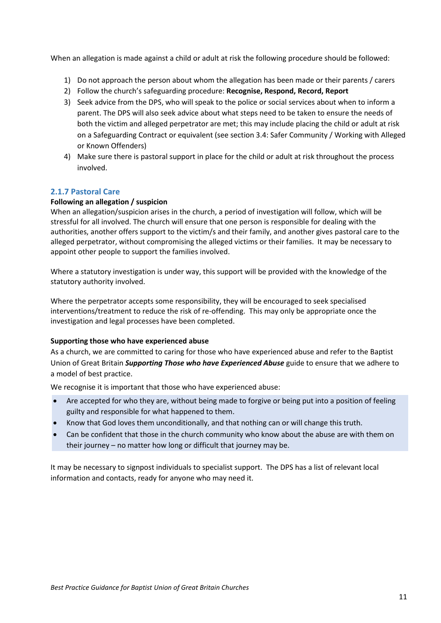When an allegation is made against a child or adult at risk the following procedure should be followed:

- 1) Do not approach the person about whom the allegation has been made or their parents / carers
- 2) Follow the church's safeguarding procedure: **Recognise, Respond, Record, Report**
- 3) Seek advice from the DPS, who will speak to the police or social services about when to inform a parent. The DPS will also seek advice about what steps need to be taken to ensure the needs of both the victim and alleged perpetrator are met; this may include placing the child or adult at risk on a Safeguarding Contract or equivalent (see section 3.4: Safer Community / Working with Alleged or Known Offenders)
- 4) Make sure there is pastoral support in place for the child or adult at risk throughout the process involved.

#### <span id="page-10-0"></span>**2.1.7 Pastoral Care**

#### **Following an allegation / suspicion**

When an allegation/suspicion arises in the church, a period of investigation will follow, which will be stressful for all involved. The church will ensure that one person is responsible for dealing with the authorities, another offers support to the victim/s and their family, and another gives pastoral care to the alleged perpetrator, without compromising the alleged victims or their families. It may be necessary to appoint other people to support the families involved.

Where a statutory investigation is under way, this support will be provided with the knowledge of the statutory authority involved.

Where the perpetrator accepts some responsibility, they will be encouraged to seek specialised interventions/treatment to reduce the risk of re-offending. This may only be appropriate once the investigation and legal processes have been completed.

#### **Supporting those who have experienced abuse**

As a church, we are committed to caring for those who have experienced abuse and refer to the Baptist Union of Great Britain *Supporting Those who have Experienced Abuse* guide to ensure that we adhere to a model of best practice.

We recognise it is important that those who have experienced abuse:

- Are accepted for who they are, without being made to forgive or being put into a position of feeling guilty and responsible for what happened to them.
- Know that God loves them unconditionally, and that nothing can or will change this truth.
- Can be confident that those in the church community who know about the abuse are with them on their journey – no matter how long or difficult that journey may be.

It may be necessary to signpost individuals to specialist support. The DPS has a list of relevant local information and contacts, ready for anyone who may need it.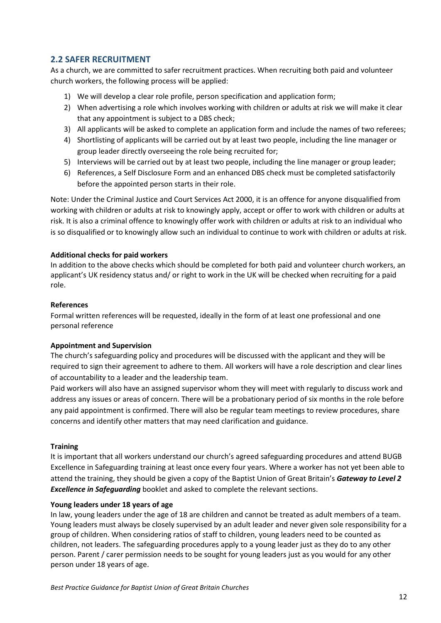#### <span id="page-11-0"></span>**2.2 SAFER RECRUITMENT**

As a church, we are committed to safer recruitment practices. When recruiting both paid and volunteer church workers, the following process will be applied:

- 1) We will develop a clear role profile, person specification and application form;
- 2) When advertising a role which involves working with children or adults at risk we will make it clear that any appointment is subject to a DBS check;
- 3) All applicants will be asked to complete an application form and include the names of two referees;
- 4) Shortlisting of applicants will be carried out by at least two people, including the line manager or group leader directly overseeing the role being recruited for;
- 5) Interviews will be carried out by at least two people, including the line manager or group leader;
- 6) References, a Self Disclosure Form and an enhanced DBS check must be completed satisfactorily before the appointed person starts in their role.

Note: Under the Criminal Justice and Court Services Act 2000, it is an offence for anyone disqualified from working with children or adults at risk to knowingly apply, accept or offer to work with children or adults at risk. It is also a criminal offence to knowingly offer work with children or adults at risk to an individual who is so disqualified or to knowingly allow such an individual to continue to work with children or adults at risk.

#### **Additional checks for paid workers**

In addition to the above checks which should be completed for both paid and volunteer church workers, an applicant's UK residency status and/ or right to work in the UK will be checked when recruiting for a paid role.

#### **References**

Formal written references will be requested, ideally in the form of at least one professional and one personal reference

#### **Appointment and Supervision**

The church's safeguarding policy and procedures will be discussed with the applicant and they will be required to sign their agreement to adhere to them. All workers will have a role description and clear lines of accountability to a leader and the leadership team.

Paid workers will also have an assigned supervisor whom they will meet with regularly to discuss work and address any issues or areas of concern. There will be a probationary period of six months in the role before any paid appointment is confirmed. There will also be regular team meetings to review procedures, share concerns and identify other matters that may need clarification and guidance.

#### **Training**

It is important that all workers understand our church's agreed safeguarding procedures and attend BUGB Excellence in Safeguarding training at least once every four years. Where a worker has not yet been able to attend the training, they should be given a copy of the Baptist Union of Great Britain's *Gateway to Level 2 Excellence in Safeguarding* booklet and asked to complete the relevant sections.

#### **Young leaders under 18 years of age**

In law, young leaders under the age of 18 are children and cannot be treated as adult members of a team. Young leaders must always be closely supervised by an adult leader and never given sole responsibility for a group of children. When considering ratios of staff to children, young leaders need to be counted as children, not leaders. The safeguarding procedures apply to a young leader just as they do to any other person. Parent / carer permission needs to be sought for young leaders just as you would for any other person under 18 years of age.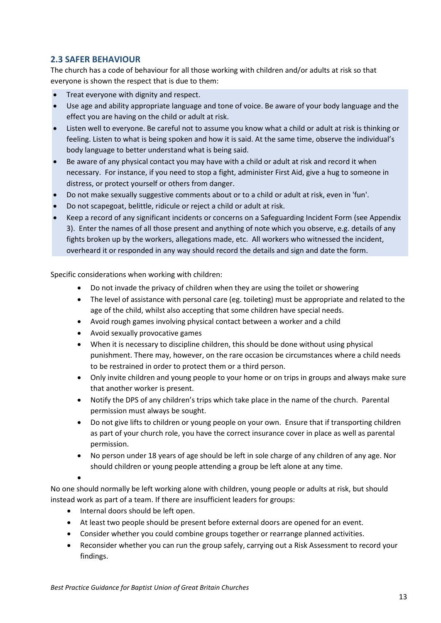#### <span id="page-12-0"></span>**2.3 SAFER BEHAVIOUR**

The church has a code of behaviour for all those working with children and/or adults at risk so that everyone is shown the respect that is due to them:

- Treat everyone with dignity and respect.
- Use age and ability appropriate language and tone of voice. Be aware of your body language and the effect you are having on the child or adult at risk.
- Listen well to everyone. Be careful not to assume you know what a child or adult at risk is thinking or feeling. Listen to what is being spoken and how it is said. At the same time, observe the individual's body language to better understand what is being said.
- Be aware of any physical contact you may have with a child or adult at risk and record it when necessary. For instance, if you need to stop a fight, administer First Aid, give a hug to someone in distress, or protect yourself or others from danger.
- Do not make sexually suggestive comments about or to a child or adult at risk, even in 'fun'.
- Do not scapegoat, belittle, ridicule or reject a child or adult at risk.
- Keep a record of any significant incidents or concerns on a Safeguarding Incident Form (see Appendix 3). Enter the names of all those present and anything of note which you observe, e.g. details of any fights broken up by the workers, allegations made, etc. All workers who witnessed the incident, overheard it or responded in any way should record the details and sign and date the form.

Specific considerations when working with children:

- Do not invade the privacy of children when they are using the toilet or showering
- The level of assistance with personal care (eg. toileting) must be appropriate and related to the age of the child, whilst also accepting that some children have special needs.
- Avoid rough games involving physical contact between a worker and a child
- Avoid sexually provocative games
- When it is necessary to discipline children, this should be done without using physical punishment. There may, however, on the rare occasion be circumstances where a child needs to be restrained in order to protect them or a third person.
- Only invite children and young people to your home or on trips in groups and always make sure that another worker is present.
- Notify the DPS of any children's trips which take place in the name of the church. Parental permission must always be sought.
- Do not give lifts to children or young people on your own. Ensure that if transporting children as part of your church role, you have the correct insurance cover in place as well as parental permission.
- No person under 18 years of age should be left in sole charge of any children of any age. Nor should children or young people attending a group be left alone at any time.
- •

No one should normally be left working alone with children, young people or adults at risk, but should instead work as part of a team. If there are insufficient leaders for groups:

- Internal doors should be left open.
- At least two people should be present before external doors are opened for an event.
- Consider whether you could combine groups together or rearrange planned activities.
- Reconsider whether you can run the group safely, carrying out a Risk Assessment to record your findings.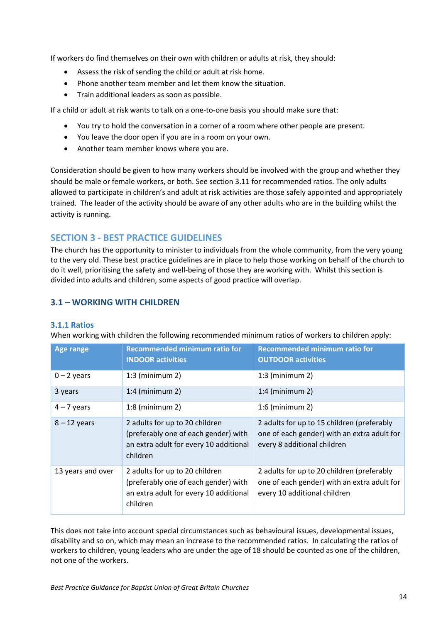If workers do find themselves on their own with children or adults at risk, they should:

- Assess the risk of sending the child or adult at risk home.
- Phone another team member and let them know the situation.
- Train additional leaders as soon as possible.

If a child or adult at risk wants to talk on a one-to-one basis you should make sure that:

- You try to hold the conversation in a corner of a room where other people are present.
- You leave the door open if you are in a room on your own.
- Another team member knows where you are.

Consideration should be given to how many workers should be involved with the group and whether they should be male or female workers, or both. See section 3.11 for recommended ratios. The only adults allowed to participate in children's and adult at risk activities are those safely appointed and appropriately trained. The leader of the activity should be aware of any other adults who are in the building whilst the activity is running.

### **SECTION 3 - BEST PRACTICE GUIDELINES**

The church has the opportunity to minister to individuals from the whole community, from the very young to the very old. These best practice guidelines are in place to help those working on behalf of the church to do it well, prioritising the safety and well-being of those they are working with. Whilst this section is divided into adults and children, some aspects of good practice will overlap.

#### <span id="page-13-0"></span>**3.1 – WORKING WITH CHILDREN**

#### <span id="page-13-1"></span>**3.1.1 Ratios**

| <b>Age range</b>  | <b>Recommended minimum ratio for</b><br><b>INDOOR activities</b>                                                             | <b>Recommended minimum ratio for</b><br><b>OUTDOOR activities</b>                                                         |
|-------------------|------------------------------------------------------------------------------------------------------------------------------|---------------------------------------------------------------------------------------------------------------------------|
| $0 - 2$ years     | $1:3$ (minimum 2)                                                                                                            | $1:3$ (minimum 2)                                                                                                         |
| 3 years           | $1:4$ (minimum 2)                                                                                                            | $1:4$ (minimum 2)                                                                                                         |
| $4 - 7$ years     | $1:8$ (minimum 2)                                                                                                            | $1:6$ (minimum 2)                                                                                                         |
| $8 - 12$ years    | 2 adults for up to 20 children<br>(preferably one of each gender) with<br>an extra adult for every 10 additional<br>children | 2 adults for up to 15 children (preferably<br>one of each gender) with an extra adult for<br>every 8 additional children  |
| 13 years and over | 2 adults for up to 20 children<br>(preferably one of each gender) with<br>an extra adult for every 10 additional<br>children | 2 adults for up to 20 children (preferably<br>one of each gender) with an extra adult for<br>every 10 additional children |

When working with children the following recommended minimum ratios of workers to children apply:

This does not take into account special circumstances such as behavioural issues, developmental issues, disability and so on, which may mean an increase to the recommended ratios. In calculating the ratios of workers to children, young leaders who are under the age of 18 should be counted as one of the children, not one of the workers.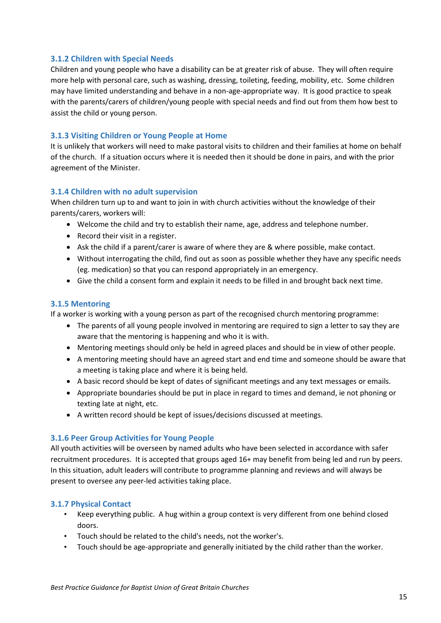#### <span id="page-14-0"></span>**3.1.2 Children with Special Needs**

Children and young people who have a disability can be at greater risk of abuse. They will often require more help with personal care, such as washing, dressing, toileting, feeding, mobility, etc. Some children may have limited understanding and behave in a non-age-appropriate way. It is good practice to speak with the parents/carers of children/young people with special needs and find out from them how best to assist the child or young person.

#### <span id="page-14-1"></span>**3.1.3 Visiting Children or Young People at Home**

It is unlikely that workers will need to make pastoral visits to children and their families at home on behalf of the church. If a situation occurs where it is needed then it should be done in pairs, and with the prior agreement of the Minister.

#### <span id="page-14-2"></span>**3.1.4 Children with no adult supervision**

When children turn up to and want to join in with church activities without the knowledge of their parents/carers, workers will:

- Welcome the child and try to establish their name, age, address and telephone number.
- Record their visit in a register.
- Ask the child if a parent/carer is aware of where they are & where possible, make contact.
- Without interrogating the child, find out as soon as possible whether they have any specific needs (eg. medication) so that you can respond appropriately in an emergency.
- Give the child a consent form and explain it needs to be filled in and brought back next time.

#### <span id="page-14-3"></span>**3.1.5 Mentoring**

If a worker is working with a young person as part of the recognised church mentoring programme:

- The parents of all young people involved in mentoring are required to sign a letter to say they are aware that the mentoring is happening and who it is with.
- Mentoring meetings should only be held in agreed places and should be in view of other people.
- A mentoring meeting should have an agreed start and end time and someone should be aware that a meeting is taking place and where it is being held.
- A basic record should be kept of dates of significant meetings and any text messages or emails.
- Appropriate boundaries should be put in place in regard to times and demand, ie not phoning or texting late at night, etc.
- A written record should be kept of issues/decisions discussed at meetings.

#### <span id="page-14-4"></span>**3.1.6 Peer Group Activities for Young People**

All youth activities will be overseen by named adults who have been selected in accordance with safer recruitment procedures. It is accepted that groups aged 16+ may benefit from being led and run by peers. In this situation, adult leaders will contribute to programme planning and reviews and will always be present to oversee any peer-led activities taking place.

#### <span id="page-14-5"></span>**3.1.7 Physical Contact**

- Keep everything public. A hug within a group context is very different from one behind closed doors.
- Touch should be related to the child's needs, not the worker's.
- Touch should be age-appropriate and generally initiated by the child rather than the worker.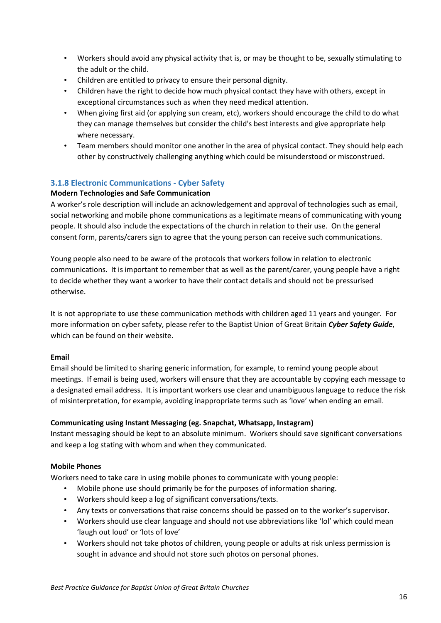- Workers should avoid any physical activity that is, or may be thought to be, sexually stimulating to the adult or the child.
- Children are entitled to privacy to ensure their personal dignity.
- Children have the right to decide how much physical contact they have with others, except in exceptional circumstances such as when they need medical attention.
- When giving first aid (or applying sun cream, etc), workers should encourage the child to do what they can manage themselves but consider the child's best interests and give appropriate help where necessary.
- Team members should monitor one another in the area of physical contact. They should help each other by constructively challenging anything which could be misunderstood or misconstrued.

#### <span id="page-15-0"></span>**3.1.8 Electronic Communications - Cyber Safety**

#### **Modern Technologies and Safe Communication**

A worker's role description will include an acknowledgement and approval of technologies such as email, social networking and mobile phone communications as a legitimate means of communicating with young people. It should also include the expectations of the church in relation to their use. On the general consent form, parents/carers sign to agree that the young person can receive such communications.

Young people also need to be aware of the protocols that workers follow in relation to electronic communications. It is important to remember that as well as the parent/carer, young people have a right to decide whether they want a worker to have their contact details and should not be pressurised otherwise.

It is not appropriate to use these communication methods with children aged 11 years and younger. For more information on cyber safety, please refer to the Baptist Union of Great Britain *Cyber Safety Guide*, which can be found on their website.

#### **Email**

Email should be limited to sharing generic information, for example, to remind young people about meetings. If email is being used, workers will ensure that they are accountable by copying each message to a designated email address. It is important workers use clear and unambiguous language to reduce the risk of misinterpretation, for example, avoiding inappropriate terms such as 'love' when ending an email.

#### **Communicating using Instant Messaging (eg. Snapchat, Whatsapp, Instagram)**

Instant messaging should be kept to an absolute minimum. Workers should save significant conversations and keep a log stating with whom and when they communicated.

#### **Mobile Phones**

Workers need to take care in using mobile phones to communicate with young people:

- Mobile phone use should primarily be for the purposes of information sharing.
- Workers should keep a log of significant conversations/texts.
- Any texts or conversations that raise concerns should be passed on to the worker's supervisor.
- Workers should use clear language and should not use abbreviations like 'lol' which could mean 'laugh out loud' or 'lots of love'
- Workers should not take photos of children, young people or adults at risk unless permission is sought in advance and should not store such photos on personal phones.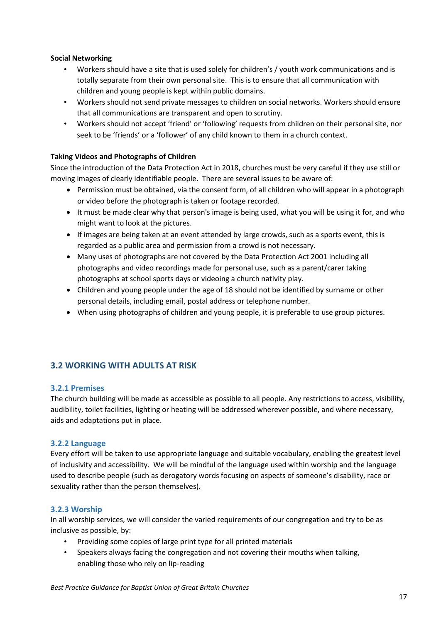#### **Social Networking**

- Workers should have a site that is used solely for children's / youth work communications and is totally separate from their own personal site. This is to ensure that all communication with children and young people is kept within public domains.
- Workers should not send private messages to children on social networks. Workers should ensure that all communications are transparent and open to scrutiny.
- Workers should not accept 'friend' or 'following' requests from children on their personal site, nor seek to be 'friends' or a 'follower' of any child known to them in a church context.

#### **Taking Videos and Photographs of Children**

Since the introduction of the Data Protection Act in 2018, churches must be very careful if they use still or moving images of clearly identifiable people. There are several issues to be aware of:

- Permission must be obtained, via the consent form, of all children who will appear in a photograph or video before the photograph is taken or footage recorded.
- It must be made clear why that person's image is being used, what you will be using it for, and who might want to look at the pictures.
- If images are being taken at an event attended by large crowds, such as a sports event, this is regarded as a public area and permission from a crowd is not necessary.
- Many uses of photographs are not covered by the Data Protection Act 2001 including all photographs and video recordings made for personal use, such as a parent/carer taking photographs at school sports days or videoing a church nativity play.
- Children and young people under the age of 18 should not be identified by surname or other personal details, including email, postal address or telephone number.
- When using photographs of children and young people, it is preferable to use group pictures.

#### <span id="page-16-0"></span>**3.2 WORKING WITH ADULTS AT RISK**

#### <span id="page-16-1"></span>**3.2.1 Premises**

The church building will be made as accessible as possible to all people. Any restrictions to access, visibility, audibility, toilet facilities, lighting or heating will be addressed wherever possible, and where necessary, aids and adaptations put in place.

#### <span id="page-16-2"></span>**3.2.2 Language**

Every effort will be taken to use appropriate language and suitable vocabulary, enabling the greatest level of inclusivity and accessibility. We will be mindful of the language used within worship and the language used to describe people (such as derogatory words focusing on aspects of someone's disability, race or sexuality rather than the person themselves).

#### <span id="page-16-3"></span>**3.2.3 Worship**

In all worship services, we will consider the varied requirements of our congregation and try to be as inclusive as possible, by:

- Providing some copies of large print type for all printed materials
- Speakers always facing the congregation and not covering their mouths when talking, enabling those who rely on lip-reading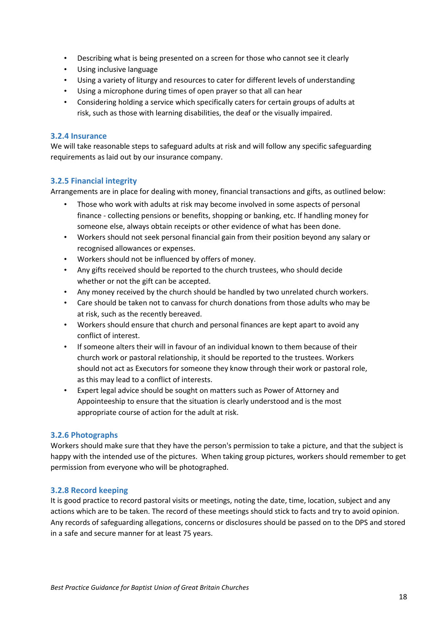- Describing what is being presented on a screen for those who cannot see it clearly
- Using inclusive language
- Using a variety of liturgy and resources to cater for different levels of understanding
- Using a microphone during times of open prayer so that all can hear
- Considering holding a service which specifically caters for certain groups of adults at risk, such as those with learning disabilities, the deaf or the visually impaired.

#### <span id="page-17-0"></span>**3.2.4 Insurance**

We will take reasonable steps to safeguard adults at risk and will follow any specific safeguarding requirements as laid out by our insurance company.

#### <span id="page-17-1"></span>**3.2.5 Financial integrity**

Arrangements are in place for dealing with money, financial transactions and gifts, as outlined below:

- Those who work with adults at risk may become involved in some aspects of personal finance - collecting pensions or benefits, shopping or banking, etc. If handling money for someone else, always obtain receipts or other evidence of what has been done.
- Workers should not seek personal financial gain from their position beyond any salary or recognised allowances or expenses.
- Workers should not be influenced by offers of money.
- Any gifts received should be reported to the church trustees, who should decide whether or not the gift can be accepted.
- Any money received by the church should be handled by two unrelated church workers.
- Care should be taken not to canvass for church donations from those adults who may be at risk, such as the recently bereaved.
- Workers should ensure that church and personal finances are kept apart to avoid any conflict of interest.
- If someone alters their will in favour of an individual known to them because of their church work or pastoral relationship, it should be reported to the trustees. Workers should not act as Executors for someone they know through their work or pastoral role, as this may lead to a conflict of interests.
- Expert legal advice should be sought on matters such as Power of Attorney and Appointeeship to ensure that the situation is clearly understood and is the most appropriate course of action for the adult at risk.

#### <span id="page-17-2"></span>**3.2.6 Photographs**

Workers should make sure that they have the person's permission to take a picture, and that the subject is happy with the intended use of the pictures. When taking group pictures, workers should remember to get permission from everyone who will be photographed.

#### <span id="page-17-3"></span>**3.2.8 Record keeping**

It is good practice to record pastoral visits or meetings, noting the date, time, location, subject and any actions which are to be taken. The record of these meetings should stick to facts and try to avoid opinion. Any records of safeguarding allegations, concerns or disclosures should be passed on to the DPS and stored in a safe and secure manner for at least 75 years.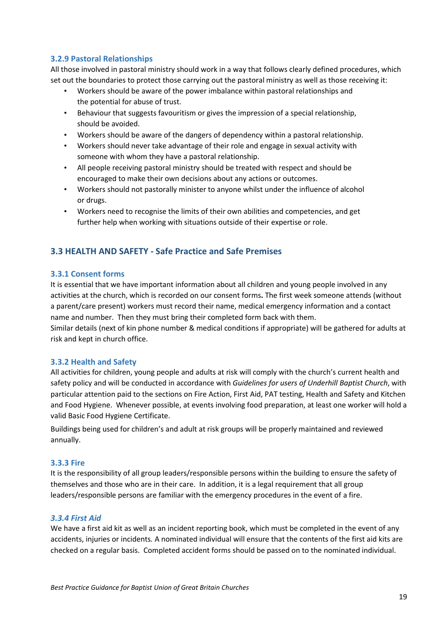#### <span id="page-18-0"></span>**3.2.9 Pastoral Relationships**

All those involved in pastoral ministry should work in a way that follows clearly defined procedures, which set out the boundaries to protect those carrying out the pastoral ministry as well as those receiving it:

- Workers should be aware of the power imbalance within pastoral relationships and the potential for abuse of trust.
- Behaviour that suggests favouritism or gives the impression of a special relationship, should be avoided.
- Workers should be aware of the dangers of dependency within a pastoral relationship.
- Workers should never take advantage of their role and engage in sexual activity with someone with whom they have a pastoral relationship.
- All people receiving pastoral ministry should be treated with respect and should be encouraged to make their own decisions about any actions or outcomes.
- Workers should not pastorally minister to anyone whilst under the influence of alcohol or drugs.
- Workers need to recognise the limits of their own abilities and competencies, and get further help when working with situations outside of their expertise or role.

#### <span id="page-18-1"></span>**3.3 HEALTH AND SAFETY - Safe Practice and Safe Premises**

#### <span id="page-18-2"></span>**3.3.1 Consent forms**

It is essential that we have important information about all children and young people involved in any activities at the church, which is recorded on our consent forms**.** The first week someone attends (without a parent/care present) workers must record their name, medical emergency information and a contact name and number. Then they must bring their completed form back with them.

Similar details (next of kin phone number & medical conditions if appropriate) will be gathered for adults at risk and kept in church office.

#### <span id="page-18-3"></span>**3.3.2 Health and Safety**

All activities for children, young people and adults at risk will comply with the church's current health and safety policy and will be conducted in accordance with *Guidelines for users of Underhill Baptist Church*, with particular attention paid to the sections on Fire Action, First Aid, PAT testing, Health and Safety and Kitchen and Food Hygiene.Whenever possible, at events involving food preparation, at least one worker will hold a valid Basic Food Hygiene Certificate.

Buildings being used for children's and adult at risk groups will be properly maintained and reviewed annually.

#### <span id="page-18-4"></span>**3.3.3 Fire**

It is the responsibility of all group leaders/responsible persons within the building to ensure the safety of themselves and those who are in their care. In addition, it is a legal requirement that all group leaders/responsible persons are familiar with the emergency procedures in the event of a fire.

#### <span id="page-18-5"></span>*3.3.4 First Aid*

We have a first aid kit as well as an incident reporting book, which must be completed in the event of any accidents, injuries or incidents*.* A nominated individual will ensure that the contents of the first aid kits are checked on a regular basis. Completed accident forms should be passed on to the nominated individual.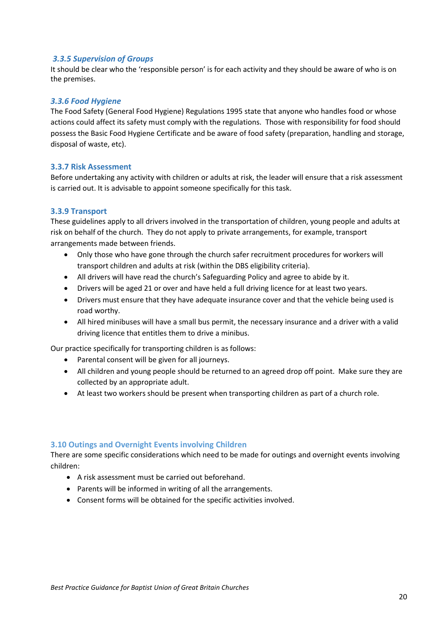#### <span id="page-19-0"></span>*3.3.5 Supervision of Groups*

It should be clear who the 'responsible person' is for each activity and they should be aware of who is on the premises.

#### <span id="page-19-1"></span>*3.3.6 Food Hygiene*

The Food Safety (General Food Hygiene) Regulations 1995 state that anyone who handles food or whose actions could affect its safety must comply with the regulations. Those with responsibility for food should possess the Basic Food Hygiene Certificate and be aware of food safety (preparation, handling and storage, disposal of waste, etc).

#### <span id="page-19-2"></span>**3.3.7 Risk Assessment**

Before undertaking any activity with children or adults at risk, the leader will ensure that a risk assessment is carried out. It is advisable to appoint someone specifically for this task.

#### <span id="page-19-3"></span>**3.3.9 Transport**

These guidelines apply to all drivers involved in the transportation of children, young people and adults at risk on behalf of the church. They do not apply to private arrangements, for example, transport arrangements made between friends.

- Only those who have gone through the church safer recruitment procedures for workers will transport children and adults at risk (within the DBS eligibility criteria).
- All drivers will have read the church's Safeguarding Policy and agree to abide by it.
- Drivers will be aged 21 or over and have held a full driving licence for at least two years.
- Drivers must ensure that they have adequate insurance cover and that the vehicle being used is road worthy.
- All hired minibuses will have a small bus permit, the necessary insurance and a driver with a valid driving licence that entitles them to drive a minibus.

Our practice specifically for transporting children is as follows:

- Parental consent will be given for all journeys.
- All children and young people should be returned to an agreed drop off point. Make sure they are collected by an appropriate adult.
- At least two workers should be present when transporting children as part of a church role.

#### **3.10 Outings and Overnight Events involving Children**

There are some specific considerations which need to be made for outings and overnight events involving children:

- A risk assessment must be carried out beforehand.
- Parents will be informed in writing of all the arrangements.
- Consent forms will be obtained for the specific activities involved.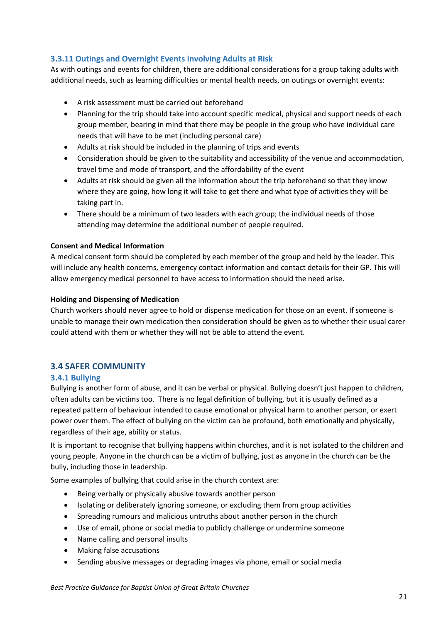#### <span id="page-20-0"></span>**3.3.11 Outings and Overnight Events involving Adults at Risk**

As with outings and events for children, there are additional considerations for a group taking adults with additional needs, such as learning difficulties or mental health needs, on outings or overnight events:

- A risk assessment must be carried out beforehand
- Planning for the trip should take into account specific medical, physical and support needs of each group member, bearing in mind that there may be people in the group who have individual care needs that will have to be met (including personal care)
- Adults at risk should be included in the planning of trips and events
- Consideration should be given to the suitability and accessibility of the venue and accommodation, travel time and mode of transport, and the affordability of the event
- Adults at risk should be given all the information about the trip beforehand so that they know where they are going, how long it will take to get there and what type of activities they will be taking part in.
- There should be a minimum of two leaders with each group; the individual needs of those attending may determine the additional number of people required.

#### **Consent and Medical Information**

A medical consent form should be completed by each member of the group and held by the leader. This will include any health concerns, emergency contact information and contact details for their GP. This will allow emergency medical personnel to have access to information should the need arise.

#### **Holding and Dispensing of Medication**

Church workers should never agree to hold or dispense medication for those on an event. If someone is unable to manage their own medication then consideration should be given as to whether their usual carer could attend with them or whether they will not be able to attend the event.

#### <span id="page-20-1"></span>**3.4 SAFER COMMUNITY**

#### <span id="page-20-2"></span>**3.4.1 Bullying**

Bullying is another form of abuse, and it can be verbal or physical. Bullying doesn't just happen to children, often adults can be victims too. There is no legal definition of bullying, but it is usually defined as a repeated pattern of behaviour intended to cause emotional or physical harm to another person, or exert power over them. The effect of bullying on the victim can be profound, both emotionally and physically, regardless of their age, ability or status.

It is important to recognise that bullying happens within churches, and it is not isolated to the children and young people. Anyone in the church can be a victim of bullying, just as anyone in the church can be the bully, including those in leadership.

Some examples of bullying that could arise in the church context are:

- Being verbally or physically abusive towards another person
- Isolating or deliberately ignoring someone, or excluding them from group activities
- Spreading rumours and malicious untruths about another person in the church
- Use of email, phone or social media to publicly challenge or undermine someone
- Name calling and personal insults
- Making false accusations
- Sending abusive messages or degrading images via phone, email or social media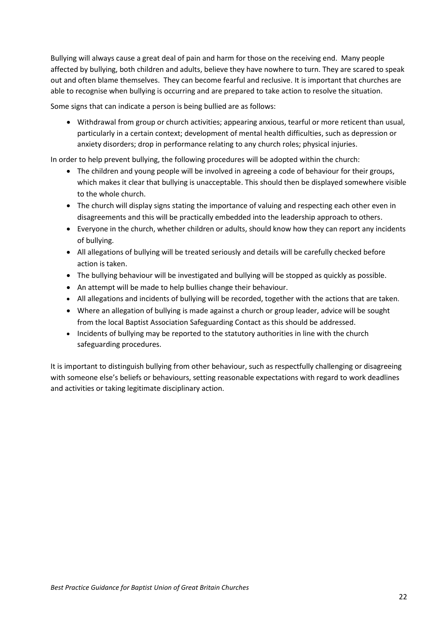Bullying will always cause a great deal of pain and harm for those on the receiving end. Many people affected by bullying, both children and adults, believe they have nowhere to turn. They are scared to speak out and often blame themselves. They can become fearful and reclusive. It is important that churches are able to recognise when bullying is occurring and are prepared to take action to resolve the situation.

Some signs that can indicate a person is being bullied are as follows:

• Withdrawal from group or church activities; appearing anxious, tearful or more reticent than usual, particularly in a certain context; development of mental health difficulties, such as depression or anxiety disorders; drop in performance relating to any church roles; physical injuries.

In order to help prevent bullying, the following procedures will be adopted within the church:

- The children and young people will be involved in agreeing a code of behaviour for their groups, which makes it clear that bullying is unacceptable. This should then be displayed somewhere visible to the whole church.
- The church will display signs stating the importance of valuing and respecting each other even in disagreements and this will be practically embedded into the leadership approach to others.
- Everyone in the church, whether children or adults, should know how they can report any incidents of bullying.
- All allegations of bullying will be treated seriously and details will be carefully checked before action is taken.
- The bullying behaviour will be investigated and bullying will be stopped as quickly as possible.
- An attempt will be made to help bullies change their behaviour.
- All allegations and incidents of bullying will be recorded, together with the actions that are taken.
- Where an allegation of bullying is made against a church or group leader, advice will be sought from the local Baptist Association Safeguarding Contact as this should be addressed.
- Incidents of bullying may be reported to the statutory authorities in line with the church safeguarding procedures.

It is important to distinguish bullying from other behaviour, such as respectfully challenging or disagreeing with someone else's beliefs or behaviours, setting reasonable expectations with regard to work deadlines and activities or taking legitimate disciplinary action.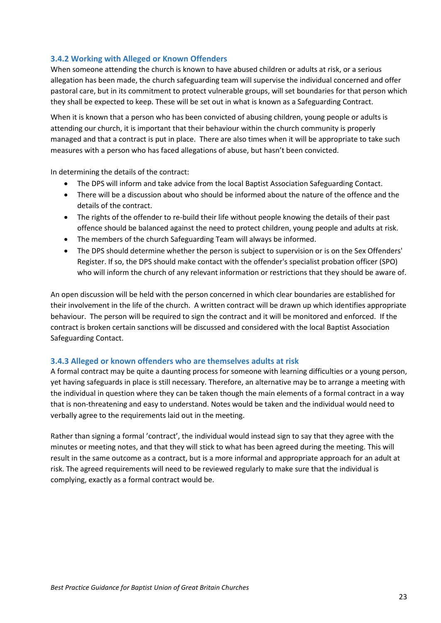#### <span id="page-22-0"></span>**3.4.2 Working with Alleged or Known Offenders**

When someone attending the church is known to have abused children or adults at risk, or a serious allegation has been made, the church safeguarding team will supervise the individual concerned and offer pastoral care, but in its commitment to protect vulnerable groups, will set boundaries for that person which they shall be expected to keep. These will be set out in what is known as a Safeguarding Contract.

When it is known that a person who has been convicted of abusing children, young people or adults is attending our church, it is important that their behaviour within the church community is properly managed and that a contract is put in place. There are also times when it will be appropriate to take such measures with a person who has faced allegations of abuse, but hasn't been convicted.

In determining the details of the contract:

- The DPS will inform and take advice from the local Baptist Association Safeguarding Contact.
- There will be a discussion about who should be informed about the nature of the offence and the details of the contract.
- The rights of the offender to re-build their life without people knowing the details of their past offence should be balanced against the need to protect children, young people and adults at risk.
- The members of the church Safeguarding Team will always be informed.
- The DPS should determine whether the person is subject to supervision or is on the Sex Offenders' Register. If so, the DPS should make contact with the offender's specialist probation officer (SPO) who will inform the church of any relevant information or restrictions that they should be aware of.

An open discussion will be held with the person concerned in which clear boundaries are established for their involvement in the life of the church. A written contract will be drawn up which identifies appropriate behaviour. The person will be required to sign the contract and it will be monitored and enforced. If the contract is broken certain sanctions will be discussed and considered with the local Baptist Association Safeguarding Contact.

#### <span id="page-22-1"></span>**3.4.3 Alleged or known offenders who are themselves adults at risk**

A formal contract may be quite a daunting process for someone with learning difficulties or a young person, yet having safeguards in place is still necessary. Therefore, an alternative may be to arrange a meeting with the individual in question where they can be taken though the main elements of a formal contract in a way that is non-threatening and easy to understand. Notes would be taken and the individual would need to verbally agree to the requirements laid out in the meeting.

Rather than signing a formal 'contract', the individual would instead sign to say that they agree with the minutes or meeting notes, and that they will stick to what has been agreed during the meeting. This will result in the same outcome as a contract, but is a more informal and appropriate approach for an adult at risk. The agreed requirements will need to be reviewed regularly to make sure that the individual is complying, exactly as a formal contract would be.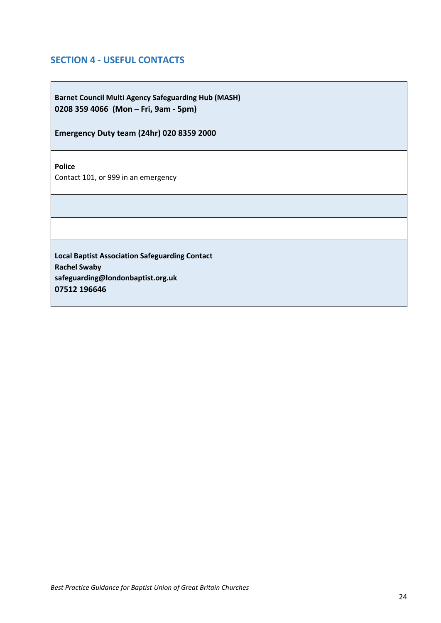## <span id="page-23-0"></span>**SECTION 4 - USEFUL CONTACTS**

**Barnet Council Multi Agency Safeguarding Hub (MASH) 0208 359 4066 (Mon – Fri, 9am - 5pm)**

**Emergency Duty team (24hr) 020 8359 2000**

**Police**

Contact 101, or 999 in an emergency

**Local Baptist Association Safeguarding Contact Rachel Swaby safeguarding@londonbaptist.org.uk 07512 196646**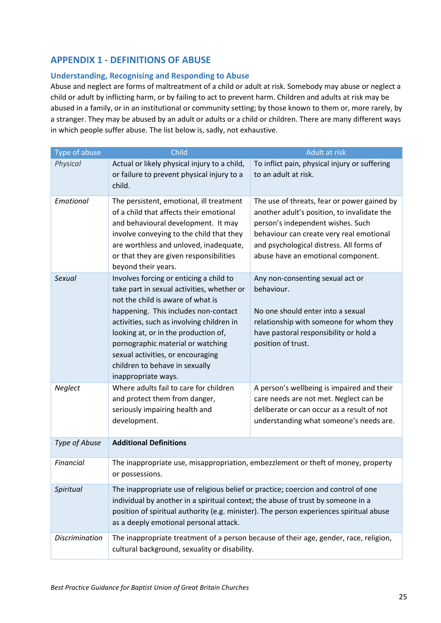## <span id="page-24-0"></span>**APPENDIX 1 - DEFINITIONS OF ABUSE**

#### **Understanding, Recognising and Responding to Abuse**

Abuse and neglect are forms of maltreatment of a child or adult at risk. Somebody may abuse or neglect a child or adult by inflicting harm, or by failing to act to prevent harm. Children and adults at risk may be abused in a family, or in an institutional or community setting; by those known to them or, more rarely, by a stranger. They may be abused by an adult or adults or a child or children. There are many different ways in which people suffer abuse. The list below is, sadly, not exhaustive.

| Type of abuse         | Child                                                                                                                                                                                                                                                                                                                                                                                      | Adult at risk                                                                                                                                                                                                                                                 |  |
|-----------------------|--------------------------------------------------------------------------------------------------------------------------------------------------------------------------------------------------------------------------------------------------------------------------------------------------------------------------------------------------------------------------------------------|---------------------------------------------------------------------------------------------------------------------------------------------------------------------------------------------------------------------------------------------------------------|--|
| Physical              | Actual or likely physical injury to a child,<br>or failure to prevent physical injury to a<br>child.                                                                                                                                                                                                                                                                                       | To inflict pain, physical injury or suffering<br>to an adult at risk.                                                                                                                                                                                         |  |
| Emotional             | The persistent, emotional, ill treatment<br>of a child that affects their emotional<br>and behavioural development. It may<br>involve conveying to the child that they<br>are worthless and unloved, inadequate,<br>or that they are given responsibilities<br>beyond their years.                                                                                                         | The use of threats, fear or power gained by<br>another adult's position, to invalidate the<br>person's independent wishes. Such<br>behaviour can create very real emotional<br>and psychological distress. All forms of<br>abuse have an emotional component. |  |
| Sexual                | Involves forcing or enticing a child to<br>take part in sexual activities, whether or<br>not the child is aware of what is<br>happening. This includes non-contact<br>activities, such as involving children in<br>looking at, or in the production of,<br>pornographic material or watching<br>sexual activities, or encouraging<br>children to behave in sexually<br>inappropriate ways. | Any non-consenting sexual act or<br>behaviour.<br>No one should enter into a sexual<br>relationship with someone for whom they<br>have pastoral responsibility or hold a<br>position of trust.                                                                |  |
| Neglect               | Where adults fail to care for children<br>and protect them from danger,<br>seriously impairing health and<br>development.                                                                                                                                                                                                                                                                  | A person's wellbeing is impaired and their<br>care needs are not met. Neglect can be<br>deliberate or can occur as a result of not<br>understanding what someone's needs are.                                                                                 |  |
| Type of Abuse         | <b>Additional Definitions</b>                                                                                                                                                                                                                                                                                                                                                              |                                                                                                                                                                                                                                                               |  |
| Financial             | The inappropriate use, misappropriation, embezzlement or theft of money, property<br>or possessions.                                                                                                                                                                                                                                                                                       |                                                                                                                                                                                                                                                               |  |
| Spiritual             | The inappropriate use of religious belief or practice; coercion and control of one<br>individual by another in a spiritual context; the abuse of trust by someone in a<br>position of spiritual authority (e.g. minister). The person experiences spiritual abuse<br>as a deeply emotional personal attack.                                                                                |                                                                                                                                                                                                                                                               |  |
| <b>Discrimination</b> | The inappropriate treatment of a person because of their age, gender, race, religion,<br>cultural background, sexuality or disability.                                                                                                                                                                                                                                                     |                                                                                                                                                                                                                                                               |  |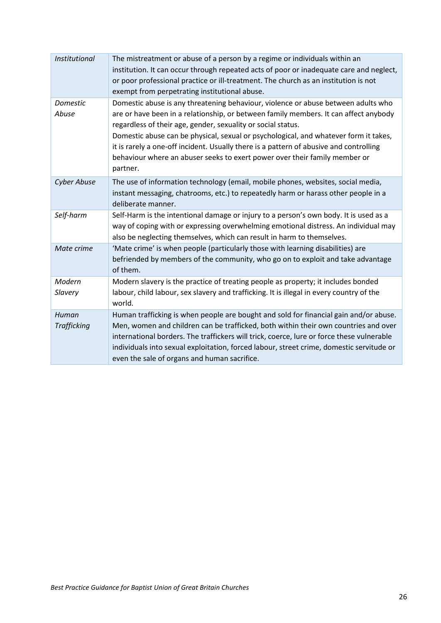| <b>Institutional</b>        | The mistreatment or abuse of a person by a regime or individuals within an<br>institution. It can occur through repeated acts of poor or inadequate care and neglect,<br>or poor professional practice or ill-treatment. The church as an institution is not<br>exempt from perpetrating institutional abuse.                                                                                                                                                                                                         |
|-----------------------------|-----------------------------------------------------------------------------------------------------------------------------------------------------------------------------------------------------------------------------------------------------------------------------------------------------------------------------------------------------------------------------------------------------------------------------------------------------------------------------------------------------------------------|
| Domestic<br>Abuse           | Domestic abuse is any threatening behaviour, violence or abuse between adults who<br>are or have been in a relationship, or between family members. It can affect anybody<br>regardless of their age, gender, sexuality or social status.<br>Domestic abuse can be physical, sexual or psychological, and whatever form it takes,<br>it is rarely a one-off incident. Usually there is a pattern of abusive and controlling<br>behaviour where an abuser seeks to exert power over their family member or<br>partner. |
| <b>Cyber Abuse</b>          | The use of information technology (email, mobile phones, websites, social media,<br>instant messaging, chatrooms, etc.) to repeatedly harm or harass other people in a<br>deliberate manner.                                                                                                                                                                                                                                                                                                                          |
| Self-harm                   | Self-Harm is the intentional damage or injury to a person's own body. It is used as a<br>way of coping with or expressing overwhelming emotional distress. An individual may<br>also be neglecting themselves, which can result in harm to themselves.                                                                                                                                                                                                                                                                |
| Mate crime                  | 'Mate crime' is when people (particularly those with learning disabilities) are<br>befriended by members of the community, who go on to exploit and take advantage<br>of them.                                                                                                                                                                                                                                                                                                                                        |
| Modern<br>Slavery           | Modern slavery is the practice of treating people as property; it includes bonded<br>labour, child labour, sex slavery and trafficking. It is illegal in every country of the<br>world.                                                                                                                                                                                                                                                                                                                               |
| Human<br><b>Trafficking</b> | Human trafficking is when people are bought and sold for financial gain and/or abuse.<br>Men, women and children can be trafficked, both within their own countries and over<br>international borders. The traffickers will trick, coerce, lure or force these vulnerable<br>individuals into sexual exploitation, forced labour, street crime, domestic servitude or<br>even the sale of organs and human sacrifice.                                                                                                 |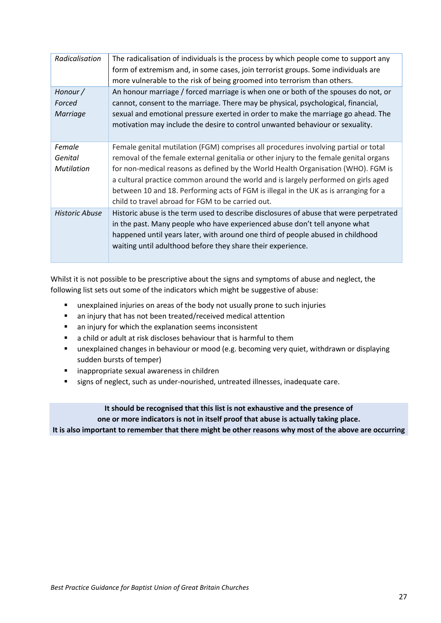| Radicalisation                         | The radicalisation of individuals is the process by which people come to support any<br>form of extremism and, in some cases, join terrorist groups. Some individuals are<br>more vulnerable to the risk of being groomed into terrorism than others.                                                                                                                                                                                                                                                |
|----------------------------------------|------------------------------------------------------------------------------------------------------------------------------------------------------------------------------------------------------------------------------------------------------------------------------------------------------------------------------------------------------------------------------------------------------------------------------------------------------------------------------------------------------|
| Honour /<br>Forced<br>Marriage         | An honour marriage / forced marriage is when one or both of the spouses do not, or<br>cannot, consent to the marriage. There may be physical, psychological, financial,<br>sexual and emotional pressure exerted in order to make the marriage go ahead. The<br>motivation may include the desire to control unwanted behaviour or sexuality.                                                                                                                                                        |
| Female<br>Genital<br><b>Mutilation</b> | Female genital mutilation (FGM) comprises all procedures involving partial or total<br>removal of the female external genitalia or other injury to the female genital organs<br>for non-medical reasons as defined by the World Health Organisation (WHO). FGM is<br>a cultural practice common around the world and is largely performed on girls aged<br>between 10 and 18. Performing acts of FGM is illegal in the UK as is arranging for a<br>child to travel abroad for FGM to be carried out. |
| <b>Historic Abuse</b>                  | Historic abuse is the term used to describe disclosures of abuse that were perpetrated<br>in the past. Many people who have experienced abuse don't tell anyone what<br>happened until years later, with around one third of people abused in childhood<br>waiting until adulthood before they share their experience.                                                                                                                                                                               |

Whilst it is not possible to be prescriptive about the signs and symptoms of abuse and neglect, the following list sets out some of the indicators which might be suggestive of abuse:

- unexplained injuries on areas of the body not usually prone to such injuries
- an injury that has not been treated/received medical attention
- an injury for which the explanation seems inconsistent
- a child or adult at risk discloses behaviour that is harmful to them
- **■** unexplained changes in behaviour or mood (e.g. becoming very quiet, withdrawn or displaying sudden bursts of temper)
- inappropriate sexual awareness in children
- signs of neglect, such as under-nourished, untreated illnesses, inadequate care.

**It should be recognised that this list is not exhaustive and the presence of one or more indicators is not in itself proof that abuse is actually taking place. It is also important to remember that there might be other reasons why most of the above are occurring**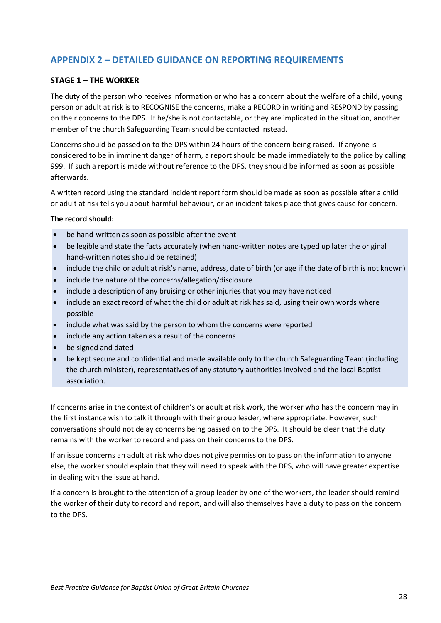## <span id="page-27-0"></span>**APPENDIX 2 – DETAILED GUIDANCE ON REPORTING REQUIREMENTS**

#### **STAGE 1 – THE WORKER**

The duty of the person who receives information or who has a concern about the welfare of a child, young person or adult at risk is to RECOGNISE the concerns, make a RECORD in writing and RESPOND by passing on their concerns to the DPS. If he/she is not contactable, or they are implicated in the situation, another member of the church Safeguarding Team should be contacted instead.

Concerns should be passed on to the DPS within 24 hours of the concern being raised. If anyone is considered to be in imminent danger of harm, a report should be made immediately to the police by calling 999. If such a report is made without reference to the DPS, they should be informed as soon as possible afterwards.

A written record using the standard incident report form should be made as soon as possible after a child or adult at risk tells you about harmful behaviour, or an incident takes place that gives cause for concern.

#### **The record should:**

- be hand-written as soon as possible after the event
- be legible and state the facts accurately (when hand-written notes are typed up later the original hand-written notes should be retained)
- include the child or adult at risk's name, address, date of birth (or age if the date of birth is not known)
- include the nature of the concerns/allegation/disclosure
- include a description of any bruising or other injuries that you may have noticed
- include an exact record of what the child or adult at risk has said, using their own words where possible
- include what was said by the person to whom the concerns were reported
- include any action taken as a result of the concerns
- be signed and dated
- be kept secure and confidential and made available only to the church Safeguarding Team (including the church minister), representatives of any statutory authorities involved and the local Baptist association.

If concerns arise in the context of children's or adult at risk work, the worker who has the concern may in the first instance wish to talk it through with their group leader, where appropriate. However, such conversations should not delay concerns being passed on to the DPS. It should be clear that the duty remains with the worker to record and pass on their concerns to the DPS.

If an issue concerns an adult at risk who does not give permission to pass on the information to anyone else, the worker should explain that they will need to speak with the DPS, who will have greater expertise in dealing with the issue at hand.

If a concern is brought to the attention of a group leader by one of the workers, the leader should remind the worker of their duty to record and report, and will also themselves have a duty to pass on the concern to the DPS.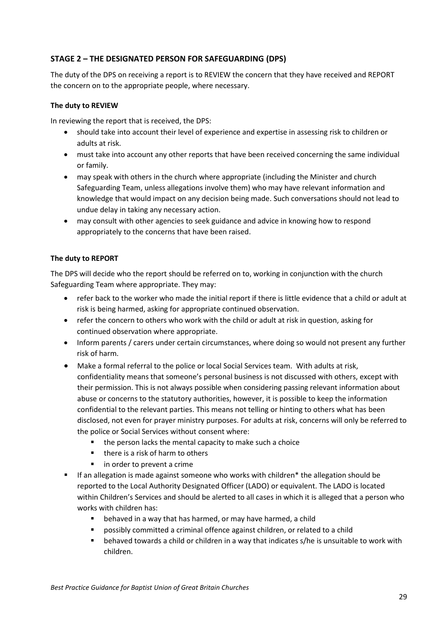#### **STAGE 2 – THE DESIGNATED PERSON FOR SAFEGUARDING (DPS)**

The duty of the DPS on receiving a report is to REVIEW the concern that they have received and REPORT the concern on to the appropriate people, where necessary.

#### **The duty to REVIEW**

In reviewing the report that is received, the DPS:

- should take into account their level of experience and expertise in assessing risk to children or adults at risk.
- must take into account any other reports that have been received concerning the same individual or family.
- may speak with others in the church where appropriate (including the Minister and church Safeguarding Team, unless allegations involve them) who may have relevant information and knowledge that would impact on any decision being made. Such conversations should not lead to undue delay in taking any necessary action.
- may consult with other agencies to seek guidance and advice in knowing how to respond appropriately to the concerns that have been raised.

#### **The duty to REPORT**

The DPS will decide who the report should be referred on to, working in conjunction with the church Safeguarding Team where appropriate. They may:

- refer back to the worker who made the initial report if there is little evidence that a child or adult at risk is being harmed, asking for appropriate continued observation.
- refer the concern to others who work with the child or adult at risk in question, asking for continued observation where appropriate.
- Inform parents / carers under certain circumstances, where doing so would not present any further risk of harm.
- Make a formal referral to the police or local Social Services team. With adults at risk, confidentiality means that someone's personal business is not discussed with others, except with their permission. This is not always possible when considering passing relevant information about abuse or concerns to the statutory authorities, however, it is possible to keep the information confidential to the relevant parties. This means not telling or hinting to others what has been disclosed, not even for prayer ministry purposes. For adults at risk, concerns will only be referred to the police or Social Services without consent where:
	- the person lacks the mental capacity to make such a choice
	- there is a risk of harm to others
	- in order to prevent a crime
- If an allegation is made against someone who works with children<sup>\*</sup> the allegation should be reported to the Local Authority Designated Officer (LADO) or equivalent. The LADO is located within Children's Services and should be alerted to all cases in which it is alleged that a person who works with children has:
	- behaved in a way that has harmed, or may have harmed, a child
	- possibly committed a criminal offence against children, or related to a child
	- behaved towards a child or children in a way that indicates s/he is unsuitable to work with children.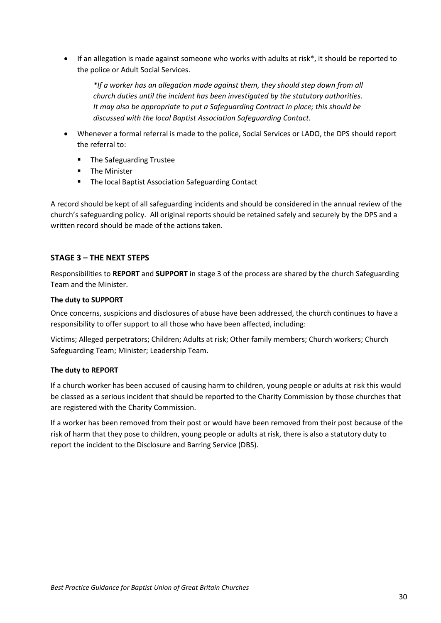• If an allegation is made against someone who works with adults at risk\*, it should be reported to the police or Adult Social Services.

*\*If a worker has an allegation made against them, they should step down from all church duties until the incident has been investigated by the statutory authorities. It may also be appropriate to put a Safeguarding Contract in place; this should be discussed with the local Baptist Association Safeguarding Contact.*

- Whenever a formal referral is made to the police, Social Services or LADO, the DPS should report the referral to:
	- The Safeguarding Trustee
	- The Minister
	- The local Baptist Association Safeguarding Contact

A record should be kept of all safeguarding incidents and should be considered in the annual review of the church's safeguarding policy. All original reports should be retained safely and securely by the DPS and a written record should be made of the actions taken.

#### **STAGE 3 – THE NEXT STEPS**

Responsibilities to **REPORT** and **SUPPORT** in stage 3 of the process are shared by the church Safeguarding Team and the Minister.

#### **The duty to SUPPORT**

Once concerns, suspicions and disclosures of abuse have been addressed, the church continues to have a responsibility to offer support to all those who have been affected, including:

Victims; Alleged perpetrators; Children; Adults at risk; Other family members; Church workers; Church Safeguarding Team; Minister; Leadership Team.

#### **The duty to REPORT**

If a church worker has been accused of causing harm to children, young people or adults at risk this would be classed as a serious incident that should be reported to the Charity Commission by those churches that are registered with the Charity Commission.

If a worker has been removed from their post or would have been removed from their post because of the risk of harm that they pose to children, young people or adults at risk, there is also a statutory duty to report the incident to the Disclosure and Barring Service (DBS).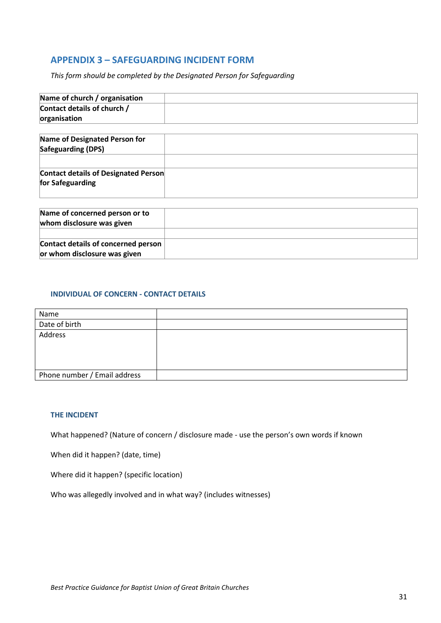## <span id="page-30-0"></span>**APPENDIX 3 – SAFEGUARDING INCIDENT FORM**

*This form should be completed by the Designated Person for Safeguarding*

| Name of church / organisation               |  |
|---------------------------------------------|--|
| Contact details of church /                 |  |
| organisation                                |  |
| Name of Designated Person for               |  |
| Safeguarding (DPS)                          |  |
|                                             |  |
| <b>Contact details of Designated Person</b> |  |
| for Safeguarding                            |  |
|                                             |  |
| Name of concerned person or to              |  |
| whom disclosure was given                   |  |
|                                             |  |

| Contact details of concerned person |  |
|-------------------------------------|--|
| or whom disclosure was given        |  |
|                                     |  |

#### **INDIVIDUAL OF CONCERN - CONTACT DETAILS**

| Name                         |  |
|------------------------------|--|
| Date of birth                |  |
| Address                      |  |
|                              |  |
|                              |  |
|                              |  |
| Phone number / Email address |  |

#### **THE INCIDENT**

What happened? (Nature of concern / disclosure made - use the person's own words if known

When did it happen? (date, time)

Where did it happen? (specific location)

Who was allegedly involved and in what way? (includes witnesses)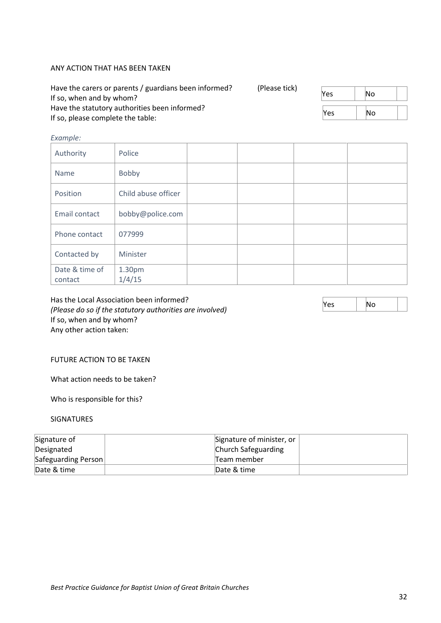#### ANY ACTION THAT HAS BEEN TAKEN

| Have the carers or parents / guardians been informed?<br>If so, when and by whom?  | (Please tick) | Yes        | lΝo  |  |
|------------------------------------------------------------------------------------|---------------|------------|------|--|
| Have the statutory authorities been informed?<br>If so, please complete the table: |               | <b>Yes</b> | lNo. |  |

#### *Example:*

| Authority                 | Police              |  |  |
|---------------------------|---------------------|--|--|
| Name                      | Bobby               |  |  |
| Position                  | Child abuse officer |  |  |
| Email contact             | bobby@police.com    |  |  |
| Phone contact             | 077999              |  |  |
| Contacted by              | Minister            |  |  |
| Date & time of<br>contact | 1.30pm<br>1/4/15    |  |  |

Has the Local Association been informed? *(Please do so if the statutory authorities are involved)* If so, when and by whom? Any other action taken:

#### FUTURE ACTION TO BE TAKEN

What action needs to be taken?

Who is responsible for this?

#### SIGNATURES

| Signature of        | Signature of minister, or |
|---------------------|---------------------------|
| Designated          | Church Safeguarding       |
| Safeguarding Person | Team member               |
| Date & time         | Date & time               |

 $Yes$   $| No$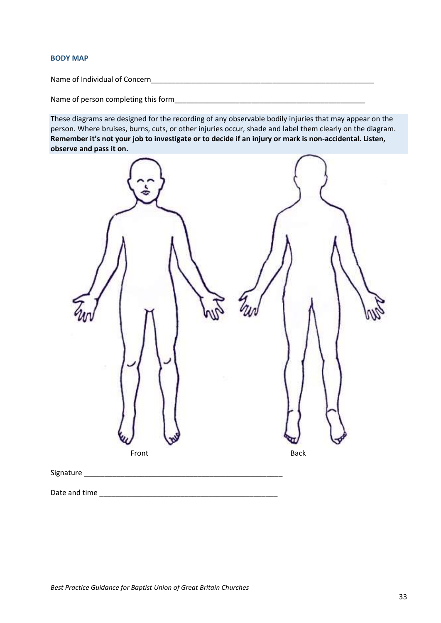#### **BODY MAP**

Name of Individual of Concern\_\_\_\_\_\_\_\_\_\_\_\_\_\_\_\_\_\_\_\_\_\_\_\_\_\_\_\_\_\_\_\_\_\_\_\_\_\_\_\_\_\_\_\_\_\_\_\_\_\_\_\_\_\_\_

Name of person completing this form\_\_\_\_\_\_\_\_\_\_\_\_\_\_\_\_\_\_\_\_\_\_\_\_\_\_\_\_\_\_\_\_\_\_\_\_\_\_\_\_\_\_\_\_\_\_\_

These diagrams are designed for the recording of any observable bodily injuries that may appear on the person. Where bruises, burns, cuts, or other injuries occur, shade and label them clearly on the diagram. **Remember it's not your job to investigate or to decide if an injury or mark is non-accidental. Listen, observe and pass it on.**